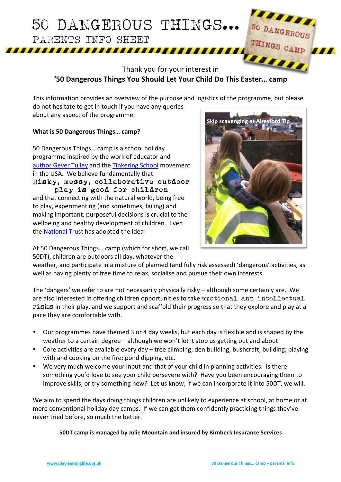

# **'502Dangerous2Things2You Should2Let2Your2Child2Do2This2Easter… camp**

This information provides an overview of the purpose and logistics of the programme, but please do not hesitate to get in touch if you have any queries about any aspect of the programme.

### **What is 50 Dangerous Things... camp?**

50 Dangerous Things... camp is a school holiday programme inspired by the work of educator and author Gever Tulley and the Tinkering School movement in the USA. We believe fundamentally that Risky, messy, collaborative outdoor play is good for children and that connecting with the natural world, being free to play, experimenting (and sometimes, failing) and making important, purposeful decisions is crucial to the wellbeing and healthy development of children. Even the National Trust has adopted the idea!



At 50 Dangerous Things... camp (which for short, we call 50DT), children are outdoors all day, whatever the

weather, and participate in a mixture of planned (and fully risk assessed) 'dangerous' activities, as well as having plenty of free time to relax, socialise and pursue their own interests.

The 'dangers' we refer to are not necessarily physically risky – although some certainly are. We are also interested in offering children opportunities to take emotional and intellectual risks in their play, and we support and scaffold their progress so that they explore and play at a pace they are comfortable with.

- Our programmes have themed 3 or 4 day weeks, but each day is flexible and is shaped by the weather to a certain degree – although we won't let it stop us getting out and about.
- Core activities are available every day tree climbing; den building; bushcraft; building; playing with and cooking on the fire; pond dipping, etc.
- We very much welcome your input and that of your child in planning activities. Is there something you'd love to see your child persevere with? Have you been encouraging them to improve skills, or try something new? Let us know; if we can incorporate it into 50DT, we will.

We aim to spend the days doing things children are unlikely to experience at school, at home or at more conventional holiday day camps. If we can get them confidently practicing things they've never tried before, so much the better.

**50DT camp is managed by Julie Mountain and insured by Birnbeck Insurance Services**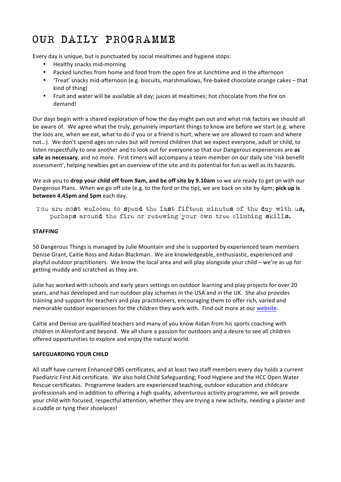# OUR DAILY PROGRAMME

Every day is unique, but is punctuated by social mealtimes and hygiene stops:

- Healthy snacks mid-morning
- $\bullet$ Packed lunches from home and food from the open fire at lunchtime and in the afternoon
- Treat' snacks mid-afternoon (e.g. biscuits, marshmallows, fire-baked chocolate orange cakes that kind of thing)
- $\bullet$ Fruit and water will be available all day; juices at mealtimes; hot chocolate from the fire on demand!

Our days begin with a shared exploration of how the day might pan out and what risk factors we should all be aware of. We agree what the truly, genuinely important things to know are before we start (e.g. where the loos are, when we eat, what to do if you or a friend is hurt, where we are allowed to roam and where not...). We don't spend ages on rules but will remind children that we expect everyone, adult or child, to listen respectfully to one another and to look out for everyone so that our Dangerous experiences are as safe as necessary, and no more. First timers will accompany a team member on our daily site 'risk benefit assessment', helping newbies get an overview of the site and its potential for fun as well as its hazards.

We ask you to drop your child off from 9am, and be off site by 9.10am so we are ready to get on with our Dangerous Plans. When we go off site (e.g. to the ford or the tip), we are back on site by 4pm; pick up is between 4.45pm and 5pm each day.

### **STAFFING**

50 Dangerous Things is managed by Julie Mountain and she is supported by experienced team members Denise Grant, Caitie Ross and Aidan Blackman. We are knowledgeable, enthusiastic, experienced and playful outdoor practitioners. We know the local area and will play alongside your child – we're as up for getting muddy and scratched as they are.

Julie has worked with schools and early years settings on outdoor learning and play projects for over 20 years, and has developed and run outdoor play schemes in the USA and in the UK. She also provides training and support for teachers and play practitioners, encouraging them to offer rich, varied and memorable outdoor experiences for the children they work with. Find out more at our website.

Caitie and Denise are qualified teachers and many of you know Aidan from his sports coaching with children in Alresford and beyond. We all share a passion for outdoors and a desire to see all children offered opportunities to explore and enjoy the natural world.

### **SAFEGUARDING YOUR CHILD**

All staff have current Enhanced DBS certificates, and at least two staff members every day holds a current Paediatric First Aid certificate. We also hold Child Safeguarding; Food Hygiene and the HCC Open Water Rescue certificates. Programme leaders are experienced teaching, outdoor education and childcare professionals and in addition to offering a high quality, adventurous activity programme, we will provide your child with focused, respectful attention, whether they are trying a new activity, needing a plaster and a cuddle or tying their shoelaces!

You are most welcome to spend the last fifteen minutes of the day with us, perhaps around the fire or renewing your own tree climbing skills.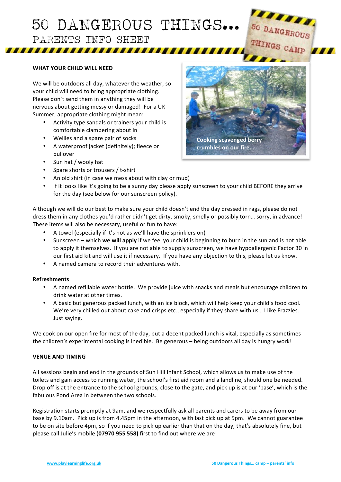#### WHAT YOUR CHILD WILL NEED

We will be outdoors all day, whatever the weather, so your child will need to bring appropriate clothing. Please don't send them in anything they will be nervous about getting messy or damaged! For a UK Summer, appropriate clothing might mean:

- Activity type sandals or trainers your child is comfortable clambering about in
- Wellies and a spare pair of socks
- A waterproof jacket (definitely); fleece or pullover
- Sun hat / wooly hat
- Spare shorts or trousers / t-shirt
- An old shirt (in case we mess about with clay or mud)
- If it looks like it's going to be a sunny day please apply sunscreen to your child BEFORE they arrive for the day (see below for our sunscreen policy).

Although we will do our best to make sure your child doesn't end the day dressed in rags, please do not dress them in any clothes you'd rather didn't get dirty, smoky, smelly or possibly torn... sorry, in advance! These items will also be necessary, useful or fun to have:

- A towel (especially if it's hot as we'll have the sprinklers on)
- Sunscreen which **we will apply** if we feel your child is beginning to burn in the sun and is not able to apply it themselves. If you are not able to supply sunscreen, we have hypoallergenic Factor 30 in our first aid kit and will use it if necessary. If you have any objection to this, please let us know.
- A named camera to record their adventures with.

#### **Refreshments**

- A named refillable water bottle. We provide juice with snacks and meals but encourage children to drink water at other times.
- A basic but generous packed lunch, with an ice block, which will help keep your child's food cool. We're very chilled out about cake and crisps etc., especially if they share with us... I like Frazzles. Just saying.

We cook on our open fire for most of the day, but a decent packed lunch is vital, especially as sometimes the children's experimental cooking is inedible. Be generous – being outdoors all day is hungry work!

#### **VENUE AND TIMING**

All sessions begin and end in the grounds of Sun Hill Infant School, which allows us to make use of the toilets and gain access to running water, the school's first aid room and a landline, should one be needed. Drop off is at the entrance to the school grounds, close to the gate, and pick up is at our 'base', which is the fabulous Pond Area in between the two schools.

Registration starts promptly at 9am, and we respectfully ask all parents and carers to be away from our base by 9.10am. Pick up is from 4.45pm in the afternoon, with last pick up at 5pm. We cannot guarantee to be on site before 4pm, so if you need to pick up earlier than that on the day, that's absolutely fine, but please call Julie's mobile (07970 955 558) first to find out where we are!

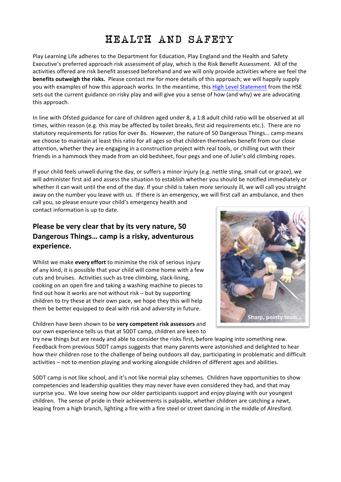# HEALTH AND SAFETY

Play Learning Life adheres to the Department for Education, Play England and the Health and Safety Executive's preferred approach risk assessment of play, which is the Risk Benefit Assessment. All of the activities offered are risk benefit assessed beforehand and we will only provide activities where we feel the **benefits outweigh the risks.** Please contact me for more details of this approach; we will happily supply you with examples of how this approach works. In the meantime, this High Level Statement from the HSE sets out the current guidance on risky play and will give you a sense of how (and why) we are advocating this approach.

In line with Ofsted guidance for care of children aged under 8, a 1:8 adult child ratio will be observed at all times, within reason (e.g. this may be affected by toilet breaks, first aid requirements etc.). There are no statutory requirements for ratios for over 8s. However, the nature of 50 Dangerous Things... camp means we choose to maintain at least this ratio for all ages so that children themselves benefit from our close attention, whether they are engaging in a construction project with real tools, or chilling out with their friends in a hammock they made from an old bedsheet, four pegs and one of Julie's old climbing ropes.

If your child feels unwell during the day, or suffers a minor injury (e.g. nettle sting, small cut or graze), we will administer first aid and assess the situation to establish whether you should be notified immediately or whether it can wait until the end of the day. If your child is taken more seriously ill, we will call you straight away on the number you leave with us. If there is an emergency, we will first call an ambulance, and then call you, so please ensure your child's emergency health and

contact information is up to date.

# Please be very clear that by its very nature, 50 Dangerous Things... camp is a risky, adventurous **experience.**

Whilst we make **every effort** to minimise the risk of serious injury of any kind, it is possible that your child will come home with a few cuts and bruises. Activities such as tree climbing, slack-lining, cooking on an open fire and taking a washing machine to pieces to find out how it works are not without risk  $-$  but by supporting children to try these at their own pace, we hope they this will help them be better equipped to deal with risk and adversity in future.

Children have been shown to be very competent risk assessors and our own experience tells us that at 50DT camp, children are keen to



try new things but are ready and able to consider the risks first, before leaping into something new. Feedback from previous 50DT camps suggests that many parents were astonished and delighted to hear how their children rose to the challenge of being outdoors all day, participating in problematic and difficult activities – not to mention playing and working alongside children of different ages and abilities.

50DT camp is not like school, and it's not like normal play schemes. Children have opportunities to show competencies and leadership qualities they may never have even considered they had, and that may surprise you. We love seeing how our older participants support and enjoy playing with our youngest children. The sense of pride in their achievements is palpable, whether children are catching a newt, leaping from a high branch, lighting a fire with a fire steel or street dancing in the middle of Alresford.